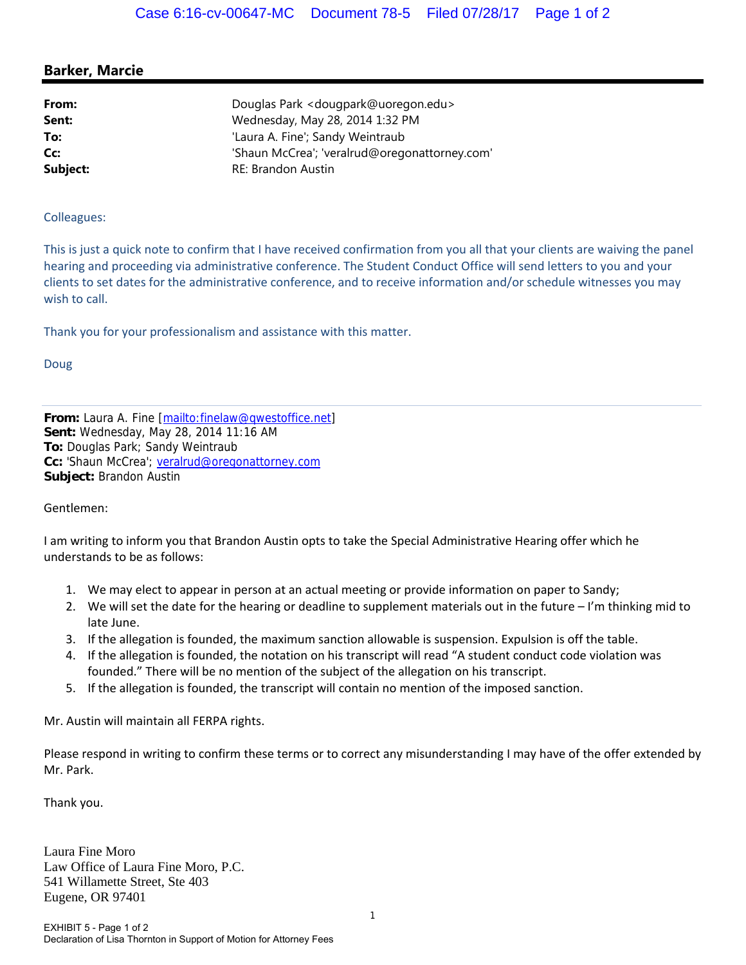## **Barker, Marcie**

| From:    | Douglas Park < dougpark@uoregon.edu>          |
|----------|-----------------------------------------------|
| Sent:    | Wednesday, May 28, 2014 1:32 PM               |
| To:      | 'Laura A. Fine'; Sandy Weintraub              |
| Cc:      | 'Shaun McCrea'; 'veralrud@oregonattorney.com' |
| Subject: | <b>RE: Brandon Austin</b>                     |

## Colleagues:

This is just a quick note to confirm that I have received confirmation from you all that your clients are waiving the panel hearing and proceeding via administrative conference. The Student Conduct Office will send letters to you and your clients to set dates for the administrative conference, and to receive information and/or schedule witnesses you may wish to call.

Thank you for your professionalism and assistance with this matter.

Doug

**From:** Laura A. Fine [mailto:finelaw@qwestoffice.net] **Sent:** Wednesday, May 28, 2014 11:16 AM **To:** Douglas Park; Sandy Weintraub **Cc:** 'Shaun McCrea'; veralrud@oregonattorney.com **Subject:** Brandon Austin

Gentlemen:

I am writing to inform you that Brandon Austin opts to take the Special Administrative Hearing offer which he understands to be as follows:

- 1. We may elect to appear in person at an actual meeting or provide information on paper to Sandy;
- 2. We will set the date for the hearing or deadline to supplement materials out in the future I'm thinking mid to late June.
- 3. If the allegation is founded, the maximum sanction allowable is suspension. Expulsion is off the table.
- 4. If the allegation is founded, the notation on his transcript will read "A student conduct code violation was founded." There will be no mention of the subject of the allegation on his transcript.
- 5. If the allegation is founded, the transcript will contain no mention of the imposed sanction.

Mr. Austin will maintain all FERPA rights.

Please respond in writing to confirm these terms or to correct any misunderstanding I may have of the offer extended by Mr. Park.

Thank you.

Laura Fine Moro Law Office of Laura Fine Moro, P.C. 541 Willamette Street, Ste 403 Eugene, OR 97401